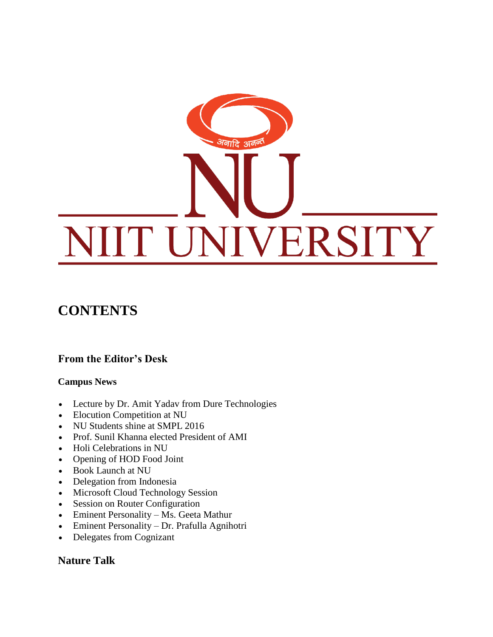

## **CONTENTS**

## **From the Editor's Desk**

#### **Campus News**

- Lecture by Dr. Amit Yadav from Dure Technologies
- Elocution Competition at NU
- NU Students shine at SMPL 2016
- Prof. Sunil Khanna elected President of AMI
- Holi Celebrations in NU
- Opening of HOD Food Joint
- Book Launch at NU
- Delegation from Indonesia
- Microsoft Cloud Technology Session
- Session on Router Configuration
- Eminent Personality Ms. Geeta Mathur
- Eminent Personality Dr. Prafulla Agnihotri
- Delegates from Cognizant

### **Nature Talk**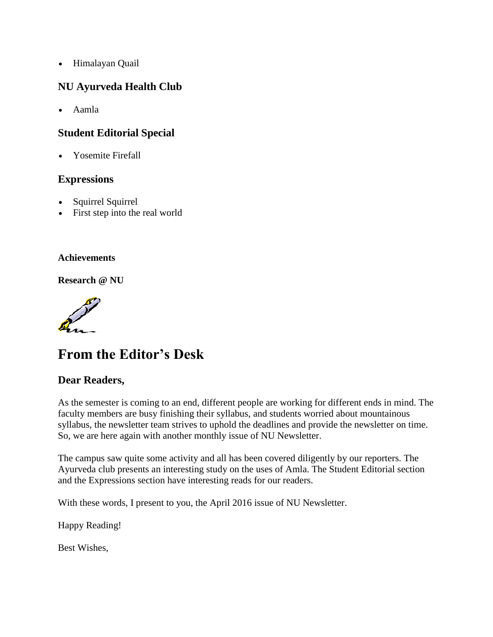Himalayan Quail

### **NU Ayurveda Health Club**

Aamla

### **Student Editorial Special**

Yosemite Firefall

#### **Expressions**

- Squirrel Squirrel
- First step into the real world

#### **Achievements**

**Research @ NU**

# **From the Editor's Desk**

#### **Dear Readers,**

As the semester is coming to an end, different people are working for different ends in mind. The faculty members are busy finishing their syllabus, and students worried about mountainous syllabus, the newsletter team strives to uphold the deadlines and provide the newsletter on time. So, we are here again with another monthly issue of NU Newsletter.

The campus saw quite some activity and all has been covered diligently by our reporters. The Ayurveda club presents an interesting study on the uses of Amla. The Student Editorial section and the Expressions section have interesting reads for our readers.

With these words, I present to you, the April 2016 issue of NU Newsletter.

Happy Reading!

Best Wishes,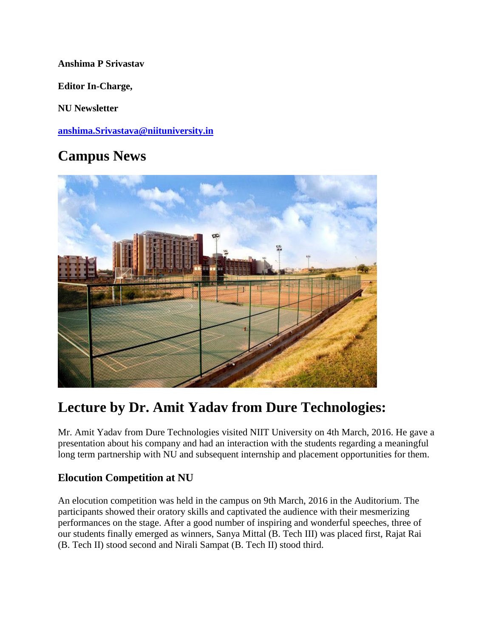#### **Anshima P Srivastav**

**Editor In-Charge,**

**NU Newsletter**

**[anshima.Srivastava@niituniversity.in](mailto:anshima.Srivastava@niituniversity.in)**

# **Campus News**



# **Lecture by Dr. Amit Yadav from Dure Technologies:**

Mr. Amit Yadav from Dure Technologies visited NIIT University on 4th March, 2016. He gave a presentation about his company and had an interaction with the students regarding a meaningful long term partnership with NU and subsequent internship and placement opportunities for them.

## **Elocution Competition at NU**

An elocution competition was held in the campus on 9th March, 2016 in the Auditorium. The participants showed their oratory skills and captivated the audience with their mesmerizing performances on the stage. After a good number of inspiring and wonderful speeches, three of our students finally emerged as winners, Sanya Mittal (B. Tech III) was placed first, Rajat Rai (B. Tech II) stood second and Nirali Sampat (B. Tech II) stood third.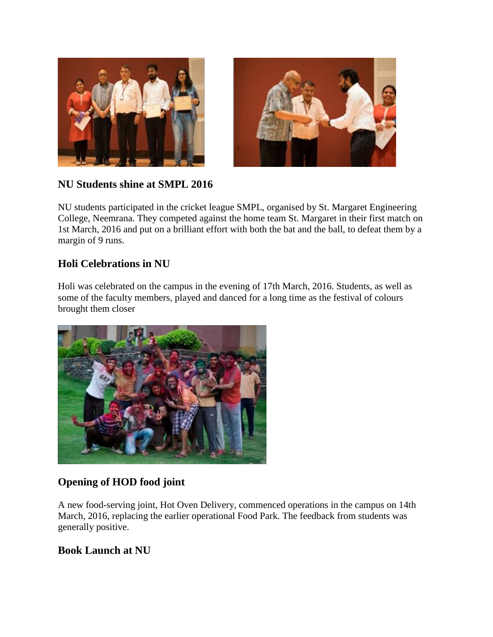



## **NU Students shine at SMPL 2016**

NU students participated in the cricket league SMPL, organised by St. Margaret Engineering College, Neemrana. They competed against the home team St. Margaret in their first match on 1st March, 2016 and put on a brilliant effort with both the bat and the ball, to defeat them by a margin of 9 runs.

## **Holi Celebrations in NU**

Holi was celebrated on the campus in the evening of 17th March, 2016. Students, as well as some of the faculty members, played and danced for a long time as the festival of colours brought them closer



## **Opening of HOD food joint**

A new food-serving joint, Hot Oven Delivery, commenced operations in the campus on 14th March, 2016, replacing the earlier operational Food Park. The feedback from students was generally positive.

## **Book Launch at NU**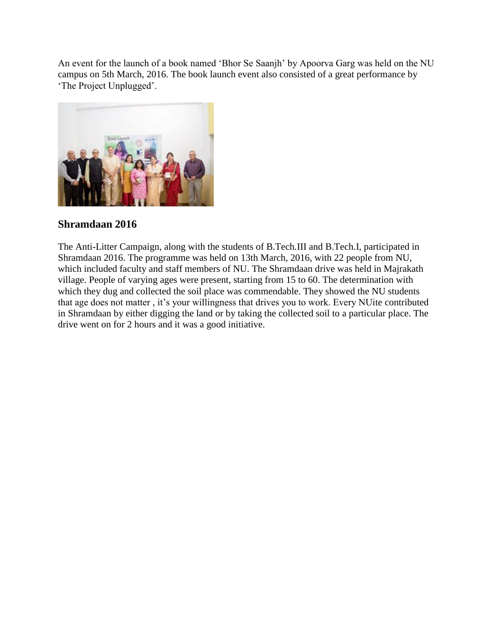An event for the launch of a book named 'Bhor Se Saanjh' by Apoorva Garg was held on the NU campus on 5th March, 2016. The book launch event also consisted of a great performance by 'The Project Unplugged'.



## **Shramdaan 2016**

The Anti-Litter Campaign, along with the students of B.Tech.III and B.Tech.I, participated in Shramdaan 2016. The programme was held on 13th March, 2016, with 22 people from NU, which included faculty and staff members of NU. The Shramdaan drive was held in Majrakath village. People of varying ages were present, starting from 15 to 60. The determination with which they dug and collected the soil place was commendable. They showed the NU students that age does not matter , it's your willingness that drives you to work. Every NUite contributed in Shramdaan by either digging the land or by taking the collected soil to a particular place. The drive went on for 2 hours and it was a good initiative.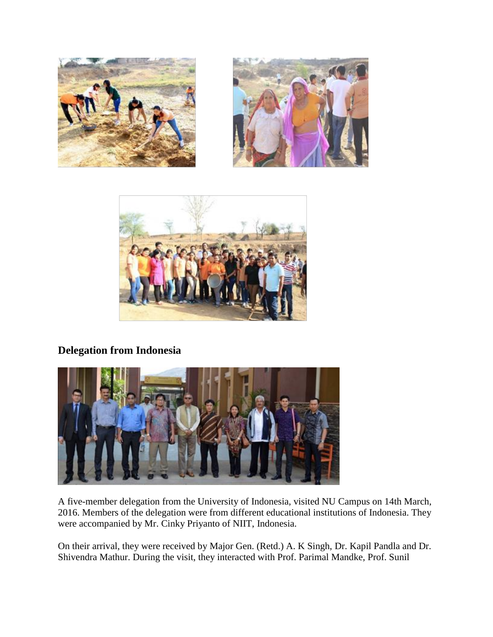





## **Delegation from Indonesia**



A five-member delegation from the University of Indonesia, visited NU Campus on 14th March, 2016. Members of the delegation were from different educational institutions of Indonesia. They were accompanied by Mr. Cinky Priyanto of NIIT, Indonesia.

On their arrival, they were received by Major Gen. (Retd.) A. K Singh, Dr. Kapil Pandla and Dr. Shivendra Mathur. During the visit, they interacted with Prof. Parimal Mandke, Prof. Sunil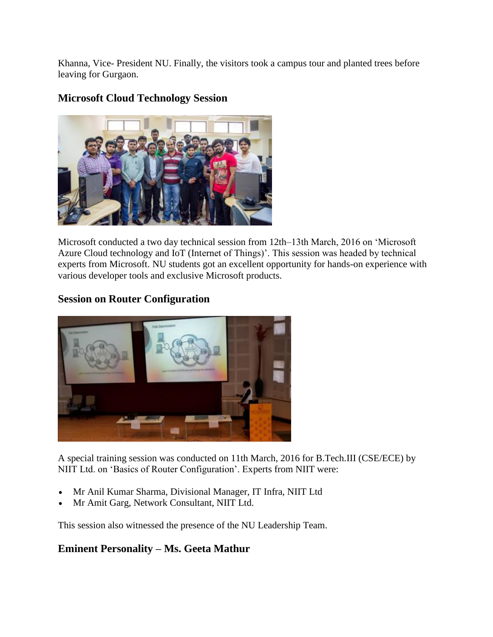Khanna, Vice- President NU. Finally, the visitors took a campus tour and planted trees before leaving for Gurgaon.

## **Microsoft Cloud Technology Session**



Microsoft conducted a two day technical session from 12th–13th March, 2016 on 'Microsoft Azure Cloud technology and IoT (Internet of Things)'. This session was headed by technical experts from Microsoft. NU students got an excellent opportunity for hands-on experience with various developer tools and exclusive Microsoft products.

## **Session on Router Configuration**



A special training session was conducted on 11th March, 2016 for B.Tech.III (CSE/ECE) by NIIT Ltd. on 'Basics of Router Configuration'. Experts from NIIT were:

- Mr Anil Kumar Sharma, Divisional Manager, IT Infra, NIIT Ltd
- Mr Amit Garg, Network Consultant, NIIT Ltd.

This session also witnessed the presence of the NU Leadership Team.

## **Eminent Personality – Ms. Geeta Mathur**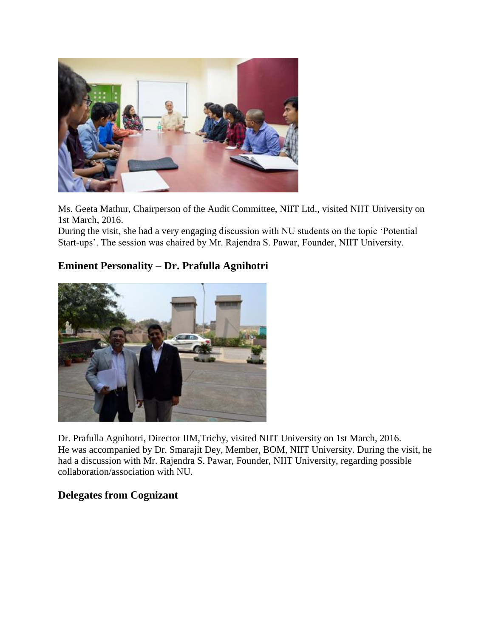

Ms. Geeta Mathur, Chairperson of the Audit Committee, NIIT Ltd., visited NIIT University on 1st March, 2016.

During the visit, she had a very engaging discussion with NU students on the topic 'Potential Start-ups'. The session was chaired by Mr. Rajendra S. Pawar, Founder, NIIT University.

### **Eminent Personality – Dr. Prafulla Agnihotri**



Dr. Prafulla Agnihotri, Director IIM,Trichy, visited NIIT University on 1st March, 2016. He was accompanied by Dr. Smarajit Dey, Member, BOM, NIIT University. During the visit, he had a discussion with Mr. Rajendra S. Pawar, Founder, NIIT University, regarding possible collaboration/association with NU.

### **Delegates from Cognizant**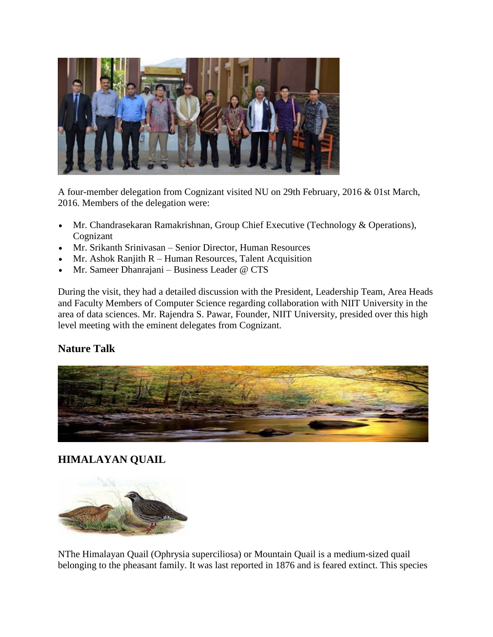

A four-member delegation from Cognizant visited NU on 29th February, 2016 & 01st March, 2016. Members of the delegation were:

- Mr. Chandrasekaran Ramakrishnan, Group Chief Executive (Technology & Operations), Cognizant
- Mr. Srikanth Srinivasan Senior Director, Human Resources
- $\bullet$  Mr. Ashok Ranjith R Human Resources, Talent Acquisition
- Mr. Sameer Dhanrajani Business Leader @ CTS

During the visit, they had a detailed discussion with the President, Leadership Team, Area Heads and Faculty Members of Computer Science regarding collaboration with NIIT University in the area of data sciences. Mr. Rajendra S. Pawar, Founder, NIIT University, presided over this high level meeting with the eminent delegates from Cognizant.

## **Nature Talk**



## **HIMALAYAN QUAIL**



NThe Himalayan Quail (Ophrysia superciliosa) or Mountain Quail is a medium-sized quail belonging to the pheasant family. It was last reported in 1876 and is feared extinct. This species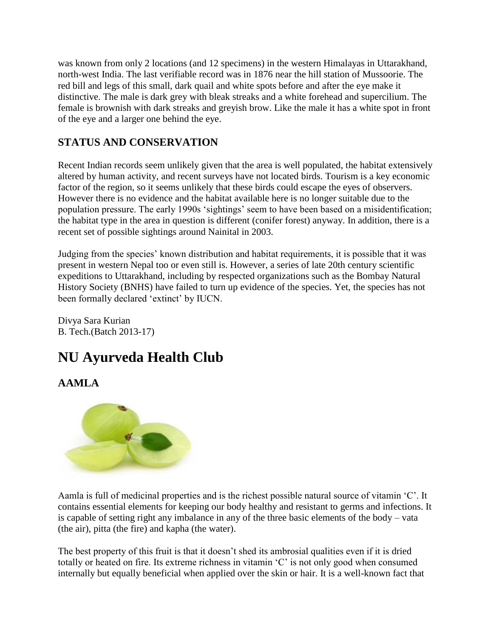was known from only 2 locations (and 12 specimens) in the western Himalayas in Uttarakhand, north-west India. The last verifiable record was in 1876 near the hill station of Mussoorie. The red bill and legs of this small, dark quail and white spots before and after the eye make it distinctive. The male is dark grey with bleak streaks and a white forehead and supercilium. The female is brownish with dark streaks and greyish brow. Like the male it has a white spot in front of the eye and a larger one behind the eye.

## **STATUS AND CONSERVATION**

Recent Indian records seem unlikely given that the area is well populated, the habitat extensively altered by human activity, and recent surveys have not located birds. Tourism is a key economic factor of the region, so it seems unlikely that these birds could escape the eyes of observers. However there is no evidence and the habitat available here is no longer suitable due to the population pressure. The early 1990s 'sightings' seem to have been based on a misidentification; the habitat type in the area in question is different (conifer forest) anyway. In addition, there is a recent set of possible sightings around Nainital in 2003.

Judging from the species' known distribution and habitat requirements, it is possible that it was present in western Nepal too or even still is. However, a series of late 20th century scientific expeditions to Uttarakhand, including by respected organizations such as the Bombay Natural History Society (BNHS) have failed to turn up evidence of the species. Yet, the species has not been formally declared 'extinct' by IUCN.

Divya Sara Kurian B. Tech.(Batch 2013-17)

# **NU Ayurveda Health Club**

## **AAMLA**



Aamla is full of medicinal properties and is the richest possible natural source of vitamin 'C'. It contains essential elements for keeping our body healthy and resistant to germs and infections. It is capable of setting right any imbalance in any of the three basic elements of the body – vata (the air), pitta (the fire) and kapha (the water).

The best property of this fruit is that it doesn't shed its ambrosial qualities even if it is dried totally or heated on fire. Its extreme richness in vitamin 'C' is not only good when consumed internally but equally beneficial when applied over the skin or hair. It is a well-known fact that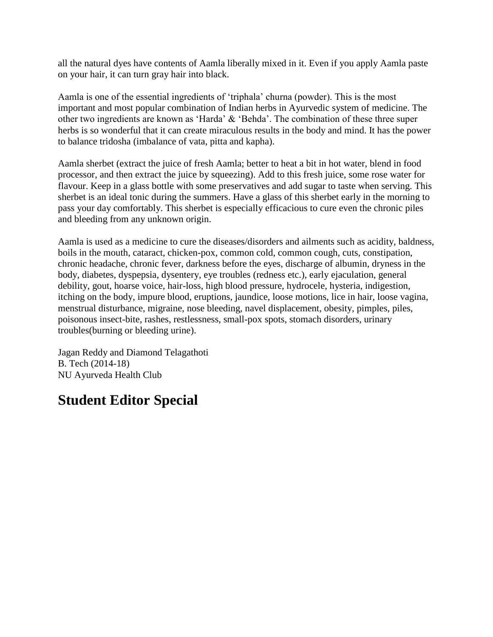all the natural dyes have contents of Aamla liberally mixed in it. Even if you apply Aamla paste on your hair, it can turn gray hair into black.

Aamla is one of the essential ingredients of 'triphala' churna (powder). This is the most important and most popular combination of Indian herbs in Ayurvedic system of medicine. The other two ingredients are known as 'Harda' & 'Behda'. The combination of these three super herbs is so wonderful that it can create miraculous results in the body and mind. It has the power to balance tridosha (imbalance of vata, pitta and kapha).

Aamla sherbet (extract the juice of fresh Aamla; better to heat a bit in hot water, blend in food processor, and then extract the juice by squeezing). Add to this fresh juice, some rose water for flavour. Keep in a glass bottle with some preservatives and add sugar to taste when serving. This sherbet is an ideal tonic during the summers. Have a glass of this sherbet early in the morning to pass your day comfortably. This sherbet is especially efficacious to cure even the chronic piles and bleeding from any unknown origin.

Aamla is used as a medicine to cure the diseases/disorders and ailments such as acidity, baldness, boils in the mouth, cataract, chicken-pox, common cold, common cough, cuts, constipation, chronic headache, chronic fever, darkness before the eyes, discharge of albumin, dryness in the body, diabetes, dyspepsia, dysentery, eye troubles (redness etc.), early ejaculation, general debility, gout, hoarse voice, hair-loss, high blood pressure, hydrocele, hysteria, indigestion, itching on the body, impure blood, eruptions, jaundice, loose motions, lice in hair, loose vagina, menstrual disturbance, migraine, nose bleeding, navel displacement, obesity, pimples, piles, poisonous insect-bite, rashes, restlessness, small-pox spots, stomach disorders, urinary troubles(burning or bleeding urine).

Jagan Reddy and Diamond Telagathoti B. Tech (2014-18) NU Ayurveda Health Club

## **Student Editor Special**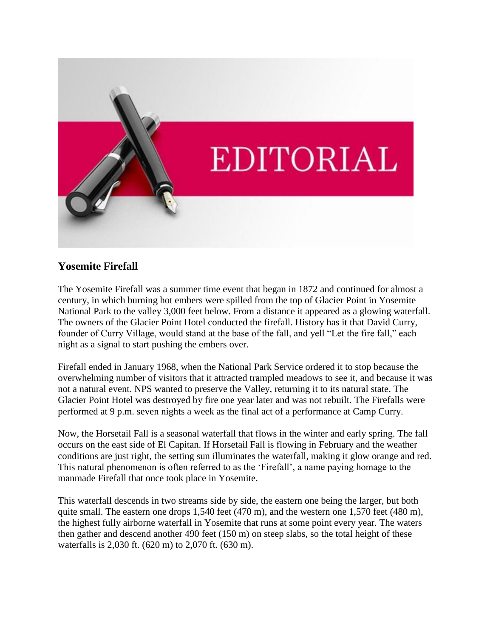

#### **Yosemite Firefall**

The Yosemite Firefall was a summer time event that began in 1872 and continued for almost a century, in which burning hot embers were spilled from the top of Glacier Point in Yosemite National Park to the valley 3,000 feet below. From a distance it appeared as a glowing waterfall. The owners of the Glacier Point Hotel conducted the firefall. History has it that David Curry, founder of Curry Village, would stand at the base of the fall, and yell "Let the fire fall," each night as a signal to start pushing the embers over.

Firefall ended in January 1968, when the National Park Service ordered it to stop because the overwhelming number of visitors that it attracted trampled meadows to see it, and because it was not a natural event. NPS wanted to preserve the Valley, returning it to its natural state. The Glacier Point Hotel was destroyed by fire one year later and was not rebuilt. The Firefalls were performed at 9 p.m. seven nights a week as the final act of a performance at Camp Curry.

Now, the Horsetail Fall is a seasonal waterfall that flows in the winter and early spring. The fall occurs on the east side of El Capitan. If Horsetail Fall is flowing in February and the weather conditions are just right, the setting sun illuminates the waterfall, making it glow orange and red. This natural phenomenon is often referred to as the 'Firefall', a name paying homage to the manmade Firefall that once took place in Yosemite.

This waterfall descends in two streams side by side, the eastern one being the larger, but both quite small. The eastern one drops 1,540 feet (470 m), and the western one 1,570 feet (480 m), the highest fully airborne waterfall in Yosemite that runs at some point every year. The waters then gather and descend another 490 feet (150 m) on steep slabs, so the total height of these waterfalls is 2,030 ft. (620 m) to 2,070 ft. (630 m).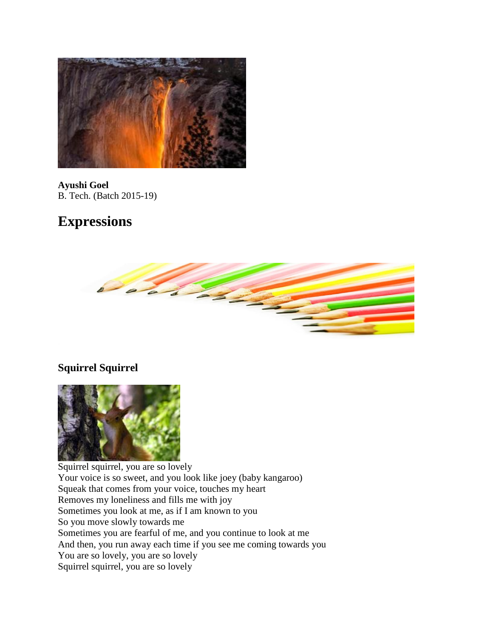

**Ayushi Goel** B. Tech. (Batch 2015-19)

## **Expressions**



## **Squirrel Squirrel**



Squirrel squirrel, you are so lovely Your voice is so sweet, and you look like joey (baby kangaroo) Squeak that comes from your voice, touches my heart Removes my loneliness and fills me with joy Sometimes you look at me, as if I am known to you So you move slowly towards me Sometimes you are fearful of me, and you continue to look at me And then, you run away each time if you see me coming towards you You are so lovely, you are so lovely Squirrel squirrel, you are so lovely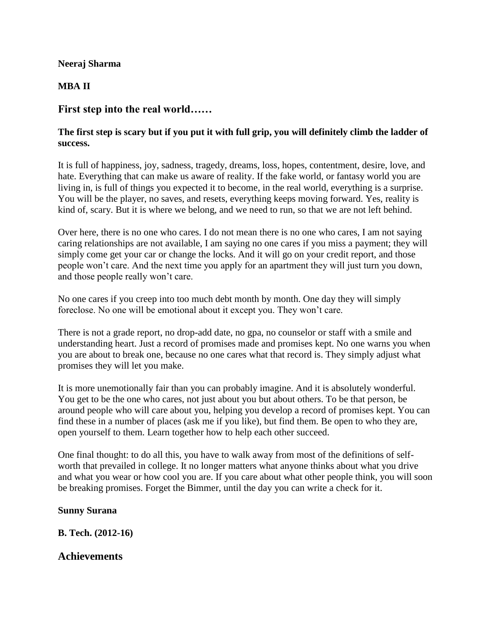#### **Neeraj Sharma**

#### **MBA II**

#### **First step into the real world……**

#### **The first step is scary but if you put it with full grip, you will definitely climb the ladder of success.**

It is full of happiness, joy, sadness, tragedy, dreams, loss, hopes, contentment, desire, love, and hate. Everything that can make us aware of reality. If the fake world, or fantasy world you are living in, is full of things you expected it to become, in the real world, everything is a surprise. You will be the player, no saves, and resets, everything keeps moving forward. Yes, reality is kind of, scary. But it is where we belong, and we need to run, so that we are not left behind.

Over here, there is no one who cares. I do not mean there is no one who cares, I am not saying caring relationships are not available, I am saying no one cares if you miss a payment; they will simply come get your car or change the locks. And it will go on your credit report, and those people won't care. And the next time you apply for an apartment they will just turn you down, and those people really won't care.

No one cares if you creep into too much debt month by month. One day they will simply foreclose. No one will be emotional about it except you. They won't care.

There is not a grade report, no drop-add date, no gpa, no counselor or staff with a smile and understanding heart. Just a record of promises made and promises kept. No one warns you when you are about to break one, because no one cares what that record is. They simply adjust what promises they will let you make.

It is more unemotionally fair than you can probably imagine. And it is absolutely wonderful. You get to be the one who cares, not just about you but about others. To be that person, be around people who will care about you, helping you develop a record of promises kept. You can find these in a number of places (ask me if you like), but find them. Be open to who they are, open yourself to them. Learn together how to help each other succeed.

One final thought: to do all this, you have to walk away from most of the definitions of selfworth that prevailed in college. It no longer matters what anyone thinks about what you drive and what you wear or how cool you are. If you care about what other people think, you will soon be breaking promises. Forget the Bimmer, until the day you can write a check for it.

#### **Sunny Surana**

**B. Tech. (2012-16)**

#### **Achievements**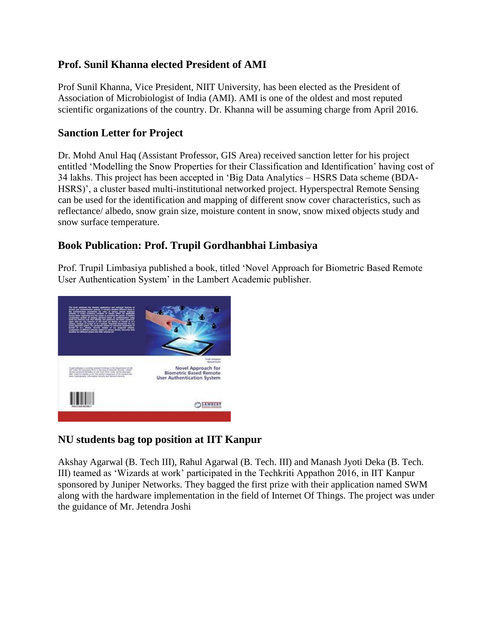## **Prof. Sunil Khanna elected President of AMI**

Prof Sunil Khanna, Vice President, NIIT University, has been elected as the President of Association of Microbiologist of India (AMI). AMI is one of the oldest and most reputed scientific organizations of the country. Dr. Khanna will be assuming charge from April 2016.

## **Sanction Letter for Project**

Dr. Mohd Anul Haq (Assistant Professor, GIS Area) received sanction letter for his project entitled 'Modelling the Snow Properties for their Classification and Identification' having cost of 34 lakhs. This project has been accepted in 'Big Data Analytics – HSRS Data scheme (BDA-HSRS)', a cluster based multi-institutional networked project. Hyperspectral Remote Sensing can be used for the identification and mapping of different snow cover characteristics, such as reflectance/ albedo, snow grain size, moisture content in snow, snow mixed objects study and snow surface temperature.

## **Book Publication: Prof. Trupil Gordhanbhai Limbasiya**

Prof. Trupil Limbasiya published a book, titled 'Novel Approach for Biometric Based Remote User Authentication System' in the Lambert Academic publisher.



## **NU students bag top position at IIT Kanpur**

Akshay Agarwal (B. Tech III), Rahul Agarwal (B. Tech. III) and Manash Jyoti Deka (B. Tech. III) teamed as 'Wizards at work' participated in the Techkriti Appathon 2016, in IIT Kanpur sponsored by Juniper Networks. They bagged the first prize with their application named SWM along with the hardware implementation in the field of Internet Of Things. The project was under the guidance of Mr. Jetendra Joshi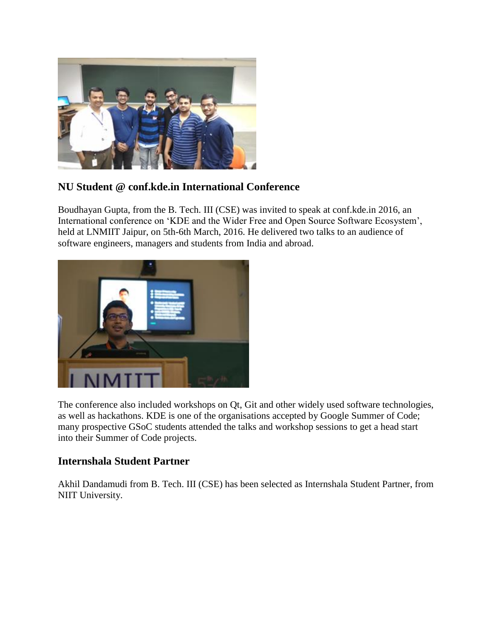

## **NU Student @ conf.kde.in International Conference**

Boudhayan Gupta, from the B. Tech. III (CSE) was invited to speak at conf.kde.in 2016, an International conference on 'KDE and the Wider Free and Open Source Software Ecosystem', held at LNMIIT Jaipur, on 5th-6th March, 2016. He delivered two talks to an audience of software engineers, managers and students from India and abroad.



The conference also included workshops on Qt, Git and other widely used software technologies, as well as hackathons. KDE is one of the organisations accepted by Google Summer of Code; many prospective GSoC students attended the talks and workshop sessions to get a head start into their Summer of Code projects.

### **Internshala Student Partner**

Akhil Dandamudi from B. Tech. III (CSE) has been selected as Internshala Student Partner, from NIIT University.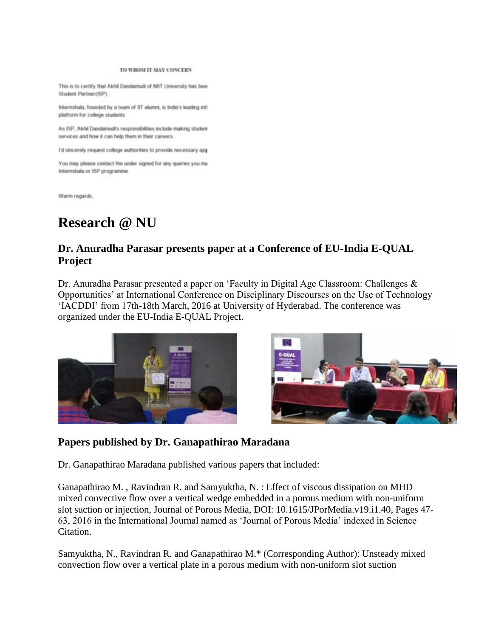#### TO WHOM IT MAY CONCERN

This is to certify that Akhil Dandamudi of NIIT University has been Student Partner(ISP).

Internshala, founded by a team of IIT alumni, is India's leading intl platform for college students.

As ISP, Akhil Dandamudi's responsibilities include making student services and how it can help them in their careers.

I'd sincerely request college authorities to provide necessary app

You may please contact the under signed for any queries you ma Internshala or ISP programme.

Warm regards.

## **Research @ NU**

## **Dr. Anuradha Parasar presents paper at a Conference of EU-India E-QUAL Project**

Dr. Anuradha Parasar presented a paper on 'Faculty in Digital Age Classroom: Challenges & Opportunities' at International Conference on Disciplinary Discourses on the Use of Technology 'IACDDI' from 17th-18th March, 2016 at University of Hyderabad. The conference was organized under the EU-India E-QUAL Project.





#### **Papers published by Dr. Ganapathirao Maradana**

Dr. Ganapathirao Maradana published various papers that included:

Ganapathirao M. , Ravindran R. and Samyuktha, N. : Effect of viscous dissipation on MHD mixed convective flow over a vertical wedge embedded in a porous medium with non-uniform slot suction or injection, Journal of Porous Media, DOI: 10.1615/JPorMedia.v19.i1.40, Pages 47- 63, 2016 in the International Journal named as 'Journal of Porous Media' indexed in Science Citation.

Samyuktha, N., Ravindran R. and Ganapathirao M.\* (Corresponding Author): Unsteady mixed convection flow over a vertical plate in a porous medium with non-uniform slot suction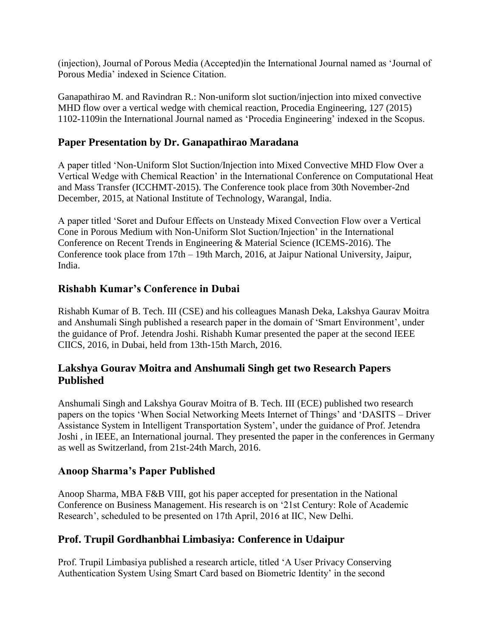(injection), Journal of Porous Media (Accepted)in the International Journal named as 'Journal of Porous Media' indexed in Science Citation.

Ganapathirao M. and Ravindran R.: Non-uniform slot suction/injection into mixed convective MHD flow over a vertical wedge with chemical reaction, Procedia Engineering, 127 (2015) 1102-1109in the International Journal named as 'Procedia Engineering' indexed in the Scopus.

### **Paper Presentation by Dr. Ganapathirao Maradana**

A paper titled 'Non-Uniform Slot Suction/Injection into Mixed Convective MHD Flow Over a Vertical Wedge with Chemical Reaction' in the International Conference on Computational Heat and Mass Transfer (ICCHMT-2015). The Conference took place from 30th November-2nd December, 2015, at National Institute of Technology, Warangal, India.

A paper titled 'Soret and Dufour Effects on Unsteady Mixed Convection Flow over a Vertical Cone in Porous Medium with Non-Uniform Slot Suction/Injection' in the International Conference on Recent Trends in Engineering & Material Science (ICEMS-2016). The Conference took place from 17th – 19th March, 2016, at Jaipur National University, Jaipur, India.

### **Rishabh Kumar's Conference in Dubai**

Rishabh Kumar of B. Tech. III (CSE) and his colleagues Manash Deka, Lakshya Gaurav Moitra and Anshumali Singh published a research paper in the domain of 'Smart Environment', under the guidance of Prof. Jetendra Joshi. Rishabh Kumar presented the paper at the second IEEE CIICS, 2016, in Dubai, held from 13th-15th March, 2016.

### **Lakshya Gourav Moitra and Anshumali Singh get two Research Papers Published**

Anshumali Singh and Lakshya Gourav Moitra of B. Tech. III (ECE) published two research papers on the topics 'When Social Networking Meets Internet of Things' and 'DASITS – Driver Assistance System in Intelligent Transportation System', under the guidance of Prof. Jetendra Joshi , in IEEE, an International journal. They presented the paper in the conferences in Germany as well as Switzerland, from 21st-24th March, 2016.

### **Anoop Sharma's Paper Published**

Anoop Sharma, MBA F&B VIII, got his paper accepted for presentation in the National Conference on Business Management. His research is on '21st Century: Role of Academic Research', scheduled to be presented on 17th April, 2016 at IIC, New Delhi.

### **Prof. Trupil Gordhanbhai Limbasiya: Conference in Udaipur**

Prof. Trupil Limbasiya published a research article, titled 'A User Privacy Conserving Authentication System Using Smart Card based on Biometric Identity' in the second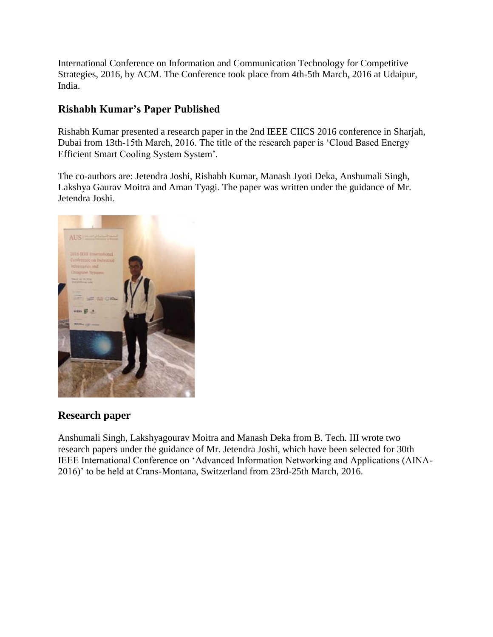International Conference on Information and Communication Technology for Competitive Strategies, 2016, by ACM. The Conference took place from 4th-5th March, 2016 at Udaipur, India.

## **Rishabh Kumar's Paper Published**

Rishabh Kumar presented a research paper in the 2nd IEEE CIICS 2016 conference in Sharjah, Dubai from 13th-15th March, 2016. The title of the research paper is 'Cloud Based Energy Efficient Smart Cooling System System'.

The co-authors are: Jetendra Joshi, Rishabh Kumar, Manash Jyoti Deka, Anshumali Singh, Lakshya Gaurav Moitra and Aman Tyagi. The paper was written under the guidance of Mr. Jetendra Joshi.



## **Research paper**

Anshumali Singh, Lakshyagourav Moitra and Manash Deka from B. Tech. III wrote two research papers under the guidance of Mr. Jetendra Joshi, which have been selected for 30th IEEE International Conference on 'Advanced Information Networking and Applications (AINA-2016)' to be held at Crans-Montana, Switzerland from 23rd-25th March, 2016.